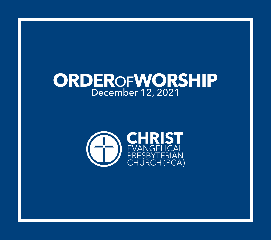# **ORDER**OF**WORSHIP** December 12, 2021

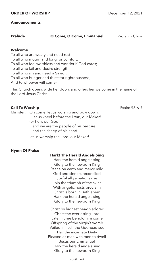# **Announcements**

# **Prelude CO Come, O Come, Emmanuel Worship Choir**

# **Welcome**

To all who are weary and need rest; To all who mourn and long for comfort; To all who feel worthless and wonder if God cares; To all who fail and desire strength; To all who sin and need a Savior; To all who hunger and thirst for righteousness; And to whoever will come–

This Church opens wide her doors and offers her welcome in the name of the Lord Jesus Christ.

# **Call To Worship Call To Worship Psalm 95:6-7**

Minister: Oh come, let us worship and bow down; let us kneel before the LORD, our Maker! For he is our God,

> and we are the people of his pasture, and the sheep of his hand.

Let us worship the Lord, our Maker!

# **Hymn Of Praise**

# **Hark! The Herald Angels Sing**

Hark the herald angels sing Glory to the newborn King Peace on earth and mercy mild God and sinners reconciled Joyful all ye nations rise Join the triumph of the skies With angelic hosts proclaim Christ is born in Bethlehem Hark the herald angels sing Glory to the newborn King

Christ by highest heav'n adored Christ the everlasting Lord Late in time behold him come Offspring of the Virgin's womb Veiled in flesh the Godhead see Hail the incarnate Deity Pleased as man with men to dwell Jesus our Emmanuel Hark the herald angels sing Glory to the newborn King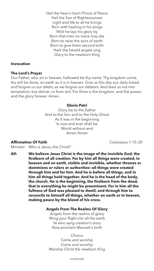Hail the heav'n born Prince of Peace Hail the Sun of Righteousness Light and life to all he brings Ris'n with healing in his wings Mild he lays his glory by Born that men no more may die Born to raise the sons of earth Born to give them second birth Hark the herald angels sing Glory to the newborn King

# **Invocation**

# **The Lord's Prayer**

Our Father, who art in heaven, hallowed be thy name. Thy kingdom come, thy will be done, on earth as it is in heaven. Give us this day our daily bread, and forgive us our debts, as we forgive our debtors. And lead us not into temptation, but deliver us from evil. For thine is the kingdom, and the power, and the glory forever. Amen.

# **Gloria Patri**

Glory be to the Father And to the Son and to the Holy Ghost As it was in the beginning Is now and ever shall be World without end Amen Amen

# **Affirmation Of Faith Colossians 1:15-20**

Minister: Who is Jesus, the Christ?

**All: We believe Jesus Christ is the image of the invisible God, the firstborn of all creation. For by him all things were created, in heaven and on earth, visible and invisible, whether thrones or dominions or rulers or authorities—all things were created through him and for him. And he is before all things, and in him all things hold together. And he is the head of the body, the church. He is the beginning, the firstborn from the dead, that in everything he might be preeminent. For in him all the fullness of God was pleased to dwell, and through him to reconcile to himself all things, whether on earth or in heaven, making peace by the blood of his cross.**

# **Angels From The Realms Of Glory**

Angels from the realms of glory Wing your flight o'er all the earth Ye who sang creation's story Now proclaim Messiah's birth

*Chorus Come and worship Come and worship Worship Christ the newborn King*

*continued*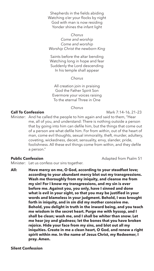Shepherds in the fields abiding Watching o'er your flocks by night God with man is now residing Yonder shines the infant light

# *Chorus Come and worship Come and worship Worship Christ the newborn King*

Saints before the altar bending Watching long in hope and fear Suddenly the Lord descending In his temple shall appear

*Chorus*

All creation join in praising God the Father Spirit Son Evermore your voices raising To the eternal Three in One

# *Chorus*

# Minister: And he called the people to him again and said to them, "Hear me, all of you, and understand: There is nothing outside a person that by going into him can defile him, but the things that come out of a person are what defile him. For from within, out of the heart of man, come evil thoughts, sexual immorality, theft, murder, adultery,

coveting, wickedness, deceit, sensuality, envy, slander, pride, foolishness. All these evil things come from within, and they defile a person."

**Public Confession Public Confession** 

Minister: Let us confess our sins together.

**All: Have mercy on me, O God, according to your steadfast love; according to your abundant mercy blot out my transgressions. Wash me thoroughly from my iniquity, and cleanse me from my sin! For I know my transgressions, and my sin is ever before me. Against you, you only, have I sinned and done what is evil in your sight, so that you may be justified in your words and blameless in your judgment. Behold, I was brought forth in iniquity, and in sin did my mother conceive me. Behold, you delight in truth in the inward being, and you teach me wisdom in the secret heart. Purge me with hyssop, and I shall be clean; wash me, and I shall be whiter than snow. Let me hear joy and gladness; let the bones that you have broken rejoice. Hide your face from my sins, and blot out all my iniquities. Create in me a clean heart, O God, and renew a right spirit within me. In the name of Jesus Christ, my Redeemer, I pray. Amen.**

**Silent Confession** 

# **Call To Confession Mark 7:14-16, 21-23**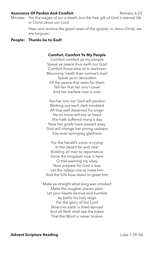# **Assurance Of Pardon And Comfort Romans 6:23**

Minister: For the wages of sin is death, but the free gift of God is eternal life in Christ Jesus our Lord.

> Hear and receive the good news of the gospel: in Jesus Christ, we are forgiven.

# **People: Thanks be to God!**

# **Comfort, Comfort Ye My People**

Comfort comfort ye my people Speak ye peace thus saith our God Comfort those who sit in darkness Mourning 'neath their sorrow's load Speak ye to Jerusalem Of the peace that waits for them Tell her that her sins I cover And her warfare now is over

Yea her sins our God will pardon Blotting out each dark misdeed All that well deserved his anger He no more will see or heed She hath suffered many a day Now her griefs have passed away God will change her pining sadness Into ever-springing gladness

For the herald's voice is crying In the desert far and near Bidding all men to repentance Since the kingdom now is here O that warning cry obey Now prepare for God a way Let the valleys rise to meet him And the hills bow down to greet him

Make ye straight what long was crooked Make the rougher places plain Let your hearts be true and humble As befits his holy reign For the glory of the Lord Now o'er earth is shed abroad And all flesh shall see the token That the Word is never broken

**Advent Scripture Reading** Luke 1:39–56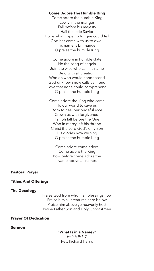# **Come, Adore The Humble King**

Come adore the humble King Lowly in the manger Fall before his majesty Hail the little Savior Hope what hope no tongue could tell God has come with us to dwell His name is Emmanuel O praise the humble King

Come adore in humble state He the song of angels Join the wise who call his name And with all creation Who oh who would condescend God unknown now calls us friend Love that none could comprehend O praise the humble King

Come adore the King who came To our world to save us Born to heal our prideful race Crown us with forgiveness Fall oh fall before the One Who in mercy left his throne Christ the Lord God's only Son His glories now we sing O praise the humble King

Come adore come adore Come adore the King Bow before come adore the Name above all names

# **Pastoral Prayer**

# **Tithes And Offerings**

# **The Doxology**

Praise God from whom all blessings flow Praise him all creatures here below Praise him above ye heavenly host Praise Father Son and Holy Ghost Amen

# **Prayer Of Dedication**

#### **Sermon**

# **"What Is in a Name?"**

*Isaiah 9:1–7* Rev. Richard Harris